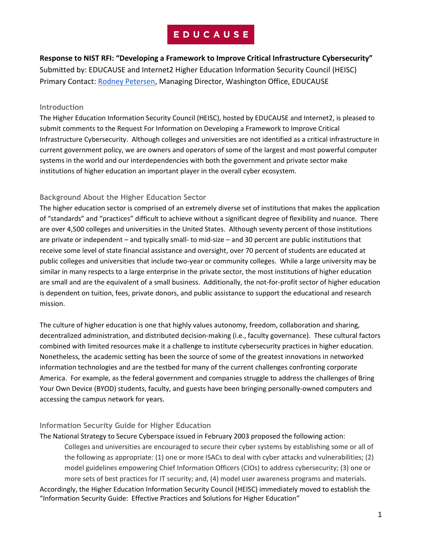**Response to NIST RFI: "Developing a Framework to Improve Critical Infrastructure Cybersecurity"** Submitted by: EDUCAUSE and Internet2 Higher Education Information Security Council (HEISC) Primary Contact: [Rodney Petersen,](mailto:rpetersen@educause.edu) Managing Director, Washington Office, EDUCAUSE

### **Introduction**

The Higher Education Information Security Council (HEISC), hosted by EDUCAUSE and Internet2, is pleased to submit comments to the Request For Information on Developing a Framework to Improve Critical Infrastructure Cybersecurity. Although colleges and universities are not identified as a critical infrastructure in current government policy, we are owners and operators of some of the largest and most powerful computer systems in the world and our interdependencies with both the government and private sector make institutions of higher education an important player in the overall cyber ecosystem.

## **Background About the Higher Education Sector**

The higher education sector is comprised of an extremely diverse set of institutions that makes the application of "standards" and "practices" difficult to achieve without a significant degree of flexibility and nuance. There are over 4,500 colleges and universities in the United States. Although seventy percent of those institutions are private or independent – and typically small- to mid-size – and 30 percent are public institutions that receive some level of state financial assistance and oversight, over 70 percent of students are educated at public colleges and universities that include two-year or community colleges. While a large university may be similar in many respects to a large enterprise in the private sector, the most institutions of higher education are small and are the equivalent of a small business. Additionally, the not-for-profit sector of higher education is dependent on tuition, fees, private donors, and public assistance to support the educational and research mission.

The culture of higher education is one that highly values autonomy, freedom, collaboration and sharing, decentralized administration, and distributed decision-making (i.e., faculty governance). These cultural factors combined with limited resources make it a challenge to institute cybersecurity practices in higher education. Nonetheless, the academic setting has been the source of some of the greatest innovations in networked information technologies and are the testbed for many of the current challenges confronting corporate America. For example, as the federal government and companies struggle to address the challenges of Bring Your Own Device (BYOD) students, faculty, and guests have been bringing personally-owned computers and accessing the campus network for years.

## **Information Security Guide for Higher Education**

### The National Strategy to Secure Cyberspace issued in February 2003 proposed the following action:

Colleges and universities are encouraged to secure their cyber systems by establishing some or all of the following as appropriate: (1) one or more ISACs to deal with cyber attacks and vulnerabilities; (2) model guidelines empowering Chief Information Officers (CIOs) to address cybersecurity; (3) one or more sets of best practices for IT security; and, (4) model user awareness programs and materials. Accordingly, the Higher Education Information Security Council (HEISC) immediately moved to establish the "Information Security Guide: Effective Practices and Solutions for Higher Education"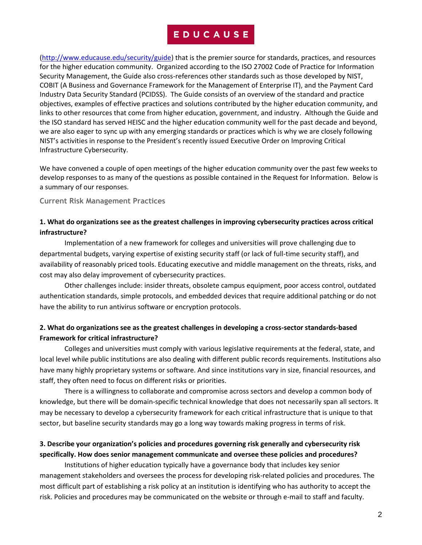[\(http://www.educause.edu/security/guide\)](http://www.educause.edu/security/guide) that is the premier source for standards, practices, and resources for the higher education community. Organized according to the ISO 27002 Code of Practice for Information Security Management, the Guide also cross-references other standards such as those developed by NIST, COBIT (A Business and Governance Framework for the Management of Enterprise IT), and the Payment Card Industry Data Security Standard (PCIDSS). The Guide consists of an overview of the standard and practice objectives, examples of effective practices and solutions contributed by the higher education community, and links to other resources that come from higher education, government, and industry. Although the Guide and the ISO standard has served HEISC and the higher education community well for the past decade and beyond, we are also eager to sync up with any emerging standards or practices which is why we are closely following NIST's activities in response to the President's recently issued Executive Order on Improving Critical Infrastructure Cybersecurity.

We have convened a couple of open meetings of the higher education community over the past few weeks to develop responses to as many of the questions as possible contained in the Request for Information. Below is a summary of our responses.

**Current Risk Management Practices**

## **1. What do organizations see as the greatest challenges in improving cybersecurity practices across critical infrastructure?**

Implementation of a new framework for colleges and universities will prove challenging due to departmental budgets, varying expertise of existing security staff (or lack of full-time security staff), and availability of reasonably priced tools. Educating executive and middle management on the threats, risks, and cost may also delay improvement of cybersecurity practices.

Other challenges include: insider threats, obsolete campus equipment, poor access control, outdated authentication standards, simple protocols, and embedded devices that require additional patching or do not have the ability to run antivirus software or encryption protocols.

## **2. What do organizations see as the greatest challenges in developing a cross-sector standards-based Framework for critical infrastructure?**

Colleges and universities must comply with various legislative requirements at the federal, state, and local level while public institutions are also dealing with different public records requirements. Institutions also have many highly proprietary systems or software. And since institutions vary in size, financial resources, and staff, they often need to focus on different risks or priorities.

There is a willingness to collaborate and compromise across sectors and develop a common body of knowledge, but there will be domain-specific technical knowledge that does not necessarily span all sectors. It may be necessary to develop a cybersecurity framework for each critical infrastructure that is unique to that sector, but baseline security standards may go a long way towards making progress in terms of risk.

## **3. Describe your organization's policies and procedures governing risk generally and cybersecurity risk specifically. How does senior management communicate and oversee these policies and procedures?**

Institutions of higher education typically have a governance body that includes key senior management stakeholders and oversees the process for developing risk-related policies and procedures. The most difficult part of establishing a risk policy at an institution is identifying who has authority to accept the risk. Policies and procedures may be communicated on the website or through e-mail to staff and faculty.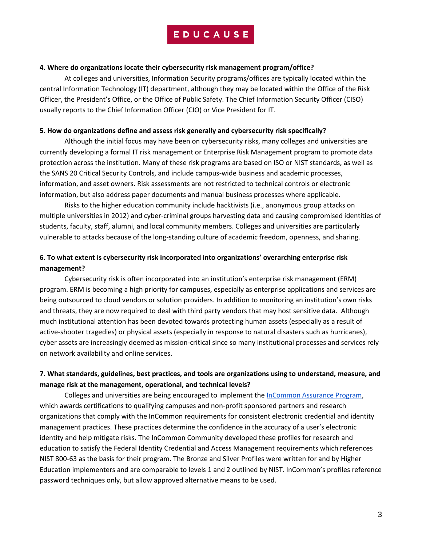#### **4. Where do organizations locate their cybersecurity risk management program/office?**

At colleges and universities, Information Security programs/offices are typically located within the central Information Technology (IT) department, although they may be located within the Office of the Risk Officer, the President's Office, or the Office of Public Safety. The Chief Information Security Officer (CISO) usually reports to the Chief Information Officer (CIO) or Vice President for IT.

#### **5. How do organizations define and assess risk generally and cybersecurity risk specifically?**

Although the initial focus may have been on cybersecurity risks, many colleges and universities are currently developing a formal IT risk management or Enterprise Risk Management program to promote data protection across the institution. Many of these risk programs are based on ISO or NIST standards, as well as the SANS 20 Critical Security Controls, and include campus-wide business and academic processes, information, and asset owners. Risk assessments are not restricted to technical controls or electronic information, but also address paper documents and manual business processes where applicable.

Risks to the higher education community include hacktivists (i.e., anonymous group attacks on multiple universities in 2012) and cyber-criminal groups harvesting data and causing compromised identities of students, faculty, staff, alumni, and local community members. Colleges and universities are particularly vulnerable to attacks because of the long-standing culture of academic freedom, openness, and sharing.

## **6. To what extent is cybersecurity risk incorporated into organizations' overarching enterprise risk management?**

Cybersecurity risk is often incorporated into an institution's enterprise risk management (ERM) program. ERM is becoming a high priority for campuses, especially as enterprise applications and services are being outsourced to cloud vendors or solution providers. In addition to monitoring an institution's own risks and threats, they are now required to deal with third party vendors that may host sensitive data. Although much institutional attention has been devoted towards protecting human assets (especially as a result of active-shooter tragedies) or physical assets (especially in response to natural disasters such as hurricanes), cyber assets are increasingly deemed as mission-critical since so many institutional processes and services rely on network availability and online services.

### **7. What standards, guidelines, best practices, and tools are organizations using to understand, measure, and manage risk at the management, operational, and technical levels?**

Colleges and universities are being encouraged to implement th[e InCommon Assurance Program,](http://www.google.com/url?q=http%3A%2F%2Fwww.incommon.org%2Fassurance%2F&sa=D&sntz=1&usg=AFQjCNGldLYF4voB_7bgl1h-NUXUV9ecGg) which awards certifications to qualifying campuses and non-profit sponsored partners and research organizations that comply with the InCommon requirements for consistent electronic credential and identity management practices. These practices determine the confidence in the accuracy of a user's electronic identity and help mitigate risks. The InCommon Community developed these profiles for research and education to satisfy the Federal Identity Credential and Access Management requirements which references NIST 800-63 as the basis for their program. The Bronze and Silver Profiles were written for and by Higher Education implementers and are comparable to levels 1 and 2 outlined by NIST. InCommon's profiles reference password techniques only, but allow approved alternative means to be used.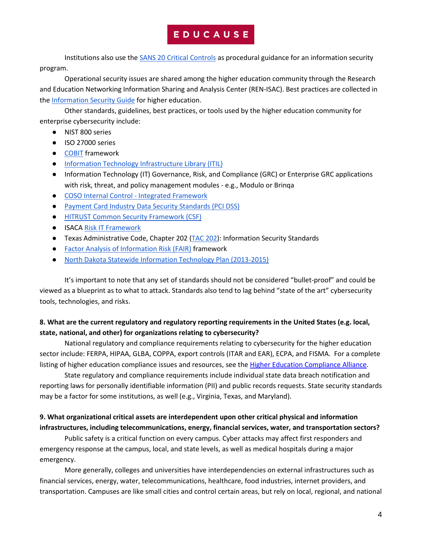Institutions also use th[e SANS 20 Critical Controls](http://www.sans.org/critical-security-controls/) as procedural guidance for an information security program.

Operational security issues are shared among the higher education community through the Research and Education Networking Information Sharing and Analysis Center (REN-ISAC). Best practices are collected in the [Information Security Guide](https://wiki.internet2.edu/confluence/display/itsg2/Home) for higher education.

Other standards, guidelines, best practices, or tools used by the higher education community for enterprise cybersecurity include:

- NIST 800 series
- ISO 27000 series
- [COBIT](http://www.isaca.org/COBIT/Pages/default.aspx) framework
- [Information Technology Infrastructure Library \(ITIL\)](http://www.itil-officialsite.com/)
- Information Technology (IT) Governance, Risk, and Compliance (GRC) or Enterprise GRC applications with risk, threat, and policy management modules - e.g., Modulo or Brinqa
- [COSO](http://www.coso.org/) Internal Control [Integrated Framework](http://www.coso.org/)
- [Payment Card Industry Data Security Standards \(PCI DSS\)](https://www.pcisecuritystandards.org/security_standards/)
- [HITRUST Common Security Framework \(CSF\)](http://www.hitrustalliance.net/csf/)
- ISAC[A Risk IT Framework](http://www.isaca.org/Knowledge-Center/Research/ResearchDeliverables/Pages/The-Risk-IT-Framework.aspx)
- Texas Administrative Code, Chapter 202 [\(TAC 202\)](http://info.sos.state.tx.us/pls/pub/readtac$ext.ViewTAC?tac_view=4&ti=1&pt=10&ch=202&rl=Y): Information Security Standards
- [Factor Analysis of Information Risk \(FAIR\)](http://riskmanagementinsight.com/media/documents/FAIR%20summary.pdf) framework
- [North Dakota Statewide Information Technology Plan \(2013-2015\)](http://www.google.com/url?q=http%3A%2F%2Fwww.nd.gov%2Fitd%2Ffiles%2Fservices%2Fitplan%2F2013-15-it-plan.pdf&sa=D&sntz=1&usg=AFQjCNEuT2H0PyzlWa11tM8YynieFCkFXA)

It's important to note that any set of standards should not be considered "bullet-proof" and could be viewed as a blueprint as to what to attack. Standards also tend to lag behind "state of the art" cybersecurity tools, technologies, and risks.

## **8. What are the current regulatory and regulatory reporting requirements in the United States (e.g. local, state, national, and other) for organizations relating to cybersecurity?**

National regulatory and compliance requirements relating to cybersecurity for the higher education sector include: FERPA, HIPAA, GLBA, COPPA, export controls (ITAR and EAR), ECPA, and FISMA. For a complete listing of higher education compliance issues and resources, see th[e Higher Education Compliance Alliance.](http://www.higheredcompliance.org/)

State regulatory and compliance requirements include individual state data breach notification and reporting laws for personally identifiable information (PII) and public records requests. State security standards may be a factor for some institutions, as well (e.g., Virginia, Texas, and Maryland).

## **9. What organizational critical assets are interdependent upon other critical physical and information infrastructures, including telecommunications, energy, financial services, water, and transportation sectors?**

Public safety is a critical function on every campus. Cyber attacks may affect first responders and emergency response at the campus, local, and state levels, as well as medical hospitals during a major emergency.

More generally, colleges and universities have interdependencies on external infrastructures such as financial services, energy, water, telecommunications, healthcare, food industries, internet providers, and transportation. Campuses are like small cities and control certain areas, but rely on local, regional, and national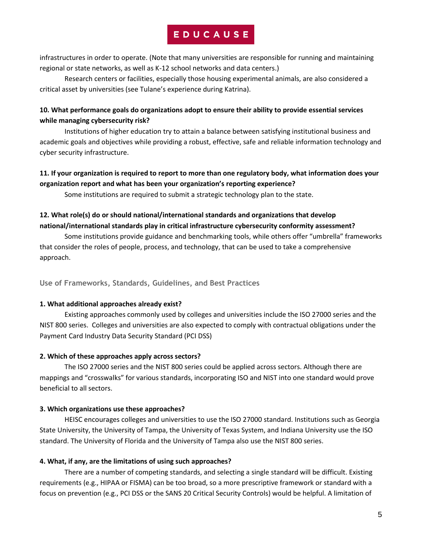infrastructures in order to operate. (Note that many universities are responsible for running and maintaining regional or state networks, as well as K-12 school networks and data centers.)

Research centers or facilities, especially those housing experimental animals, are also considered a critical asset by universities (see Tulane's experience during Katrina).

## **10. What performance goals do organizations adopt to ensure their ability to provide essential services while managing cybersecurity risk?**

Institutions of higher education try to attain a balance between satisfying institutional business and academic goals and objectives while providing a robust, effective, safe and reliable information technology and cyber security infrastructure.

## **11. If your organization is required to report to more than one regulatory body, what information does your organization report and what has been your organization's reporting experience?**

Some institutions are required to submit a strategic technology plan to the state.

## **12. What role(s) do or should national/international standards and organizations that develop national/international standards play in critical infrastructure cybersecurity conformity assessment?**

Some institutions provide guidance and benchmarking tools, while others offer "umbrella" frameworks that consider the roles of people, process, and technology, that can be used to take a comprehensive approach.

**Use of Frameworks, Standards, Guidelines, and Best Practices**

## **1. What additional approaches already exist?**

Existing approaches commonly used by colleges and universities include the ISO 27000 series and the NIST 800 series. Colleges and universities are also expected to comply with contractual obligations under the Payment Card Industry Data Security Standard (PCI DSS)

## **2. Which of these approaches apply across sectors?**

The ISO 27000 series and the NIST 800 series could be applied across sectors. Although there are mappings and "crosswalks" for various standards, incorporating ISO and NIST into one standard would prove beneficial to all sectors.

### **3. Which organizations use these approaches?**

HEISC encourages colleges and universities to use the ISO 27000 standard. Institutions such as Georgia State University, the University of Tampa, the University of Texas System, and Indiana University use the ISO standard. The University of Florida and the University of Tampa also use the NIST 800 series.

## **4. What, if any, are the limitations of using such approaches?**

There are a number of competing standards, and selecting a single standard will be difficult. Existing requirements (e.g., HIPAA or FISMA) can be too broad, so a more prescriptive framework or standard with a focus on prevention (e.g., PCI DSS or the SANS 20 Critical Security Controls) would be helpful. A limitation of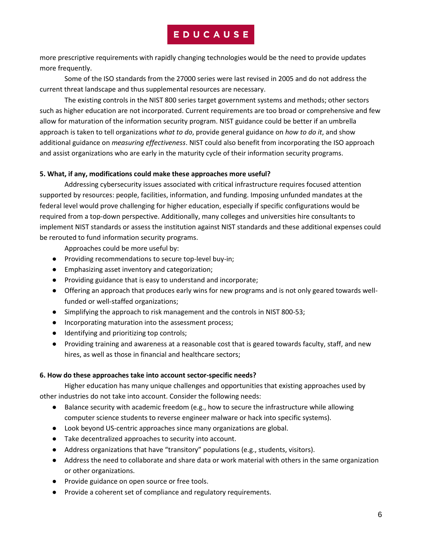more prescriptive requirements with rapidly changing technologies would be the need to provide updates more frequently.

Some of the ISO standards from the 27000 series were last revised in 2005 and do not address the current threat landscape and thus supplemental resources are necessary.

The existing controls in the NIST 800 series target government systems and methods; other sectors such as higher education are not incorporated. Current requirements are too broad or comprehensive and few allow for maturation of the information security program. NIST guidance could be better if an umbrella approach is taken to tell organizations *what to do*, provide general guidance on *how to do it*, and show additional guidance on *measuring effectiveness*. NIST could also benefit from incorporating the ISO approach and assist organizations who are early in the maturity cycle of their information security programs.

### **5. What, if any, modifications could make these approaches more useful?**

Addressing cybersecurity issues associated with critical infrastructure requires focused attention supported by resources: people, facilities, information, and funding. Imposing unfunded mandates at the federal level would prove challenging for higher education, especially if specific configurations would be required from a top-down perspective. Additionally, many colleges and universities hire consultants to implement NIST standards or assess the institution against NIST standards and these additional expenses could be rerouted to fund information security programs.

Approaches could be more useful by:

- Providing recommendations to secure top-level buy-in;
- Emphasizing asset inventory and categorization;
- Providing guidance that is easy to understand and incorporate;
- Offering an approach that produces early wins for new programs and is not only geared towards wellfunded or well-staffed organizations;
- Simplifying the approach to risk management and the controls in NIST 800-53;
- Incorporating maturation into the assessment process;
- Identifying and prioritizing top controls;
- Providing training and awareness at a reasonable cost that is geared towards faculty, staff, and new hires, as well as those in financial and healthcare sectors;

#### **6. How do these approaches take into account sector-specific needs?**

Higher education has many unique challenges and opportunities that existing approaches used by other industries do not take into account. Consider the following needs:

- Balance security with academic freedom (e.g., how to secure the infrastructure while allowing computer science students to reverse engineer malware or hack into specific systems).
- Look beyond US-centric approaches since many organizations are global.
- Take decentralized approaches to security into account.
- Address organizations that have "transitory" populations (e.g., students, visitors).
- Address the need to collaborate and share data or work material with others in the same organization or other organizations.
- Provide guidance on open source or free tools.
- Provide a coherent set of compliance and regulatory requirements.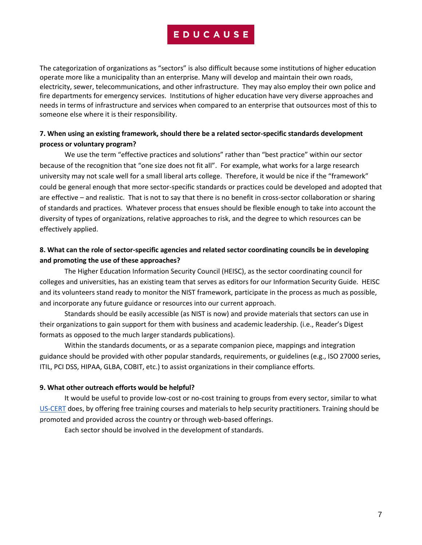The categorization of organizations as "sectors" is also difficult because some institutions of higher education operate more like a municipality than an enterprise. Many will develop and maintain their own roads, electricity, sewer, telecommunications, and other infrastructure. They may also employ their own police and fire departments for emergency services. Institutions of higher education have very diverse approaches and needs in terms of infrastructure and services when compared to an enterprise that outsources most of this to someone else where it is their responsibility.

### **7. When using an existing framework, should there be a related sector-specific standards development process or voluntary program?**

We use the term "effective practices and solutions" rather than "best practice" within our sector because of the recognition that "one size does not fit all". For example, what works for a large research university may not scale well for a small liberal arts college. Therefore, it would be nice if the "framework" could be general enough that more sector-specific standards or practices could be developed and adopted that are effective – and realistic. That is not to say that there is no benefit in cross-sector collaboration or sharing of standards and practices. Whatever process that ensues should be flexible enough to take into account the diversity of types of organizations, relative approaches to risk, and the degree to which resources can be effectively applied.

## **8. What can the role of sector-specific agencies and related sector coordinating councils be in developing and promoting the use of these approaches?**

The Higher Education Information Security Council (HEISC), as the sector coordinating council for colleges and universities, has an existing team that serves as editors for our Information Security Guide. HEISC and its volunteers stand ready to monitor the NIST framework, participate in the process as much as possible, and incorporate any future guidance or resources into our current approach.

Standards should be easily accessible (as NIST is now) and provide materials that sectors can use in their organizations to gain support for them with business and academic leadership. (i.e., Reader's Digest formats as opposed to the much larger standards publications).

Within the standards documents, or as a separate companion piece, mappings and integration guidance should be provided with other popular standards, requirements, or guidelines (e.g., ISO 27000 series, ITIL, PCI DSS, HIPAA, GLBA, COBIT, etc.) to assist organizations in their compliance efforts.

#### **9. What other outreach efforts would be helpful?**

It would be useful to provide low-cost or no-cost training to groups from every sector, similar to what [US-CERT](http://ics-cert.us-cert.gov/cstraining.html) does, by offering free training courses and materials to help security practitioners. Training should be promoted and provided across the country or through web-based offerings.

Each sector should be involved in the development of standards.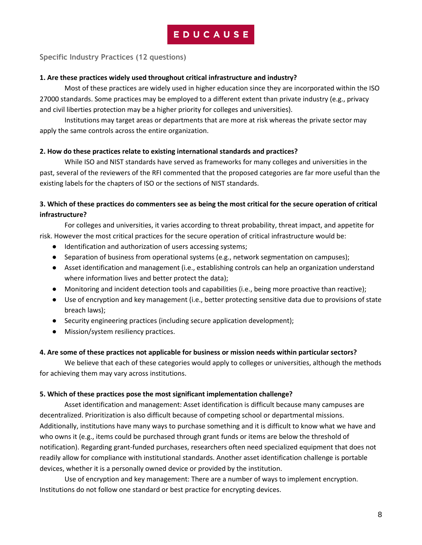**Specific Industry Practices (12 questions)**

#### **1. Are these practices widely used throughout critical infrastructure and industry?**

Most of these practices are widely used in higher education since they are incorporated within the ISO 27000 standards. Some practices may be employed to a different extent than private industry (e.g., privacy and civil liberties protection may be a higher priority for colleges and universities).

Institutions may target areas or departments that are more at risk whereas the private sector may apply the same controls across the entire organization.

#### **2. How do these practices relate to existing international standards and practices?**

While ISO and NIST standards have served as frameworks for many colleges and universities in the past, several of the reviewers of the RFI commented that the proposed categories are far more useful than the existing labels for the chapters of ISO or the sections of NIST standards.

## **3. Which of these practices do commenters see as being the most critical for the secure operation of critical infrastructure?**

For colleges and universities, it varies according to threat probability, threat impact, and appetite for risk. However the most critical practices for the secure operation of critical infrastructure would be:

- Identification and authorization of users accessing systems;
- Separation of business from operational systems (e.g., network segmentation on campuses);
- Asset identification and management (i.e., establishing controls can help an organization understand where information lives and better protect the data);
- Monitoring and incident detection tools and capabilities (i.e., being more proactive than reactive);
- Use of encryption and key management (i.e., better protecting sensitive data due to provisions of state breach laws);
- Security engineering practices (including secure application development);
- Mission/system resiliency practices.

#### **4. Are some of these practices not applicable for business or mission needs within particular sectors?**

We believe that each of these categories would apply to colleges or universities, although the methods for achieving them may vary across institutions.

#### **5. Which of these practices pose the most significant implementation challenge?**

Asset identification and management: Asset identification is difficult because many campuses are decentralized. Prioritization is also difficult because of competing school or departmental missions. Additionally, institutions have many ways to purchase something and it is difficult to know what we have and who owns it (e.g., items could be purchased through grant funds or items are below the threshold of notification). Regarding grant-funded purchases, researchers often need specialized equipment that does not readily allow for compliance with institutional standards. Another asset identification challenge is portable devices, whether it is a personally owned device or provided by the institution.

Use of encryption and key management: There are a number of ways to implement encryption. Institutions do not follow one standard or best practice for encrypting devices.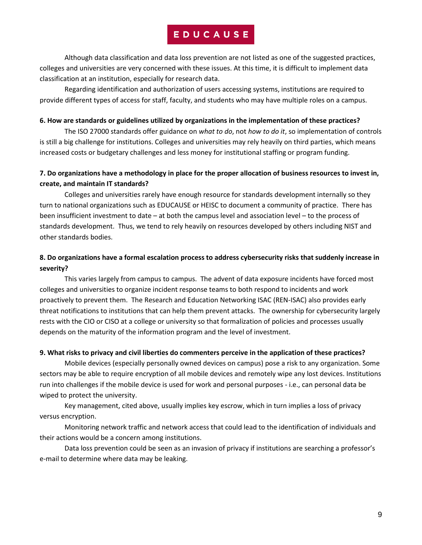Although data classification and data loss prevention are not listed as one of the suggested practices, colleges and universities are very concerned with these issues. At this time, it is difficult to implement data classification at an institution, especially for research data.

Regarding identification and authorization of users accessing systems, institutions are required to provide different types of access for staff, faculty, and students who may have multiple roles on a campus.

#### **6. How are standards or guidelines utilized by organizations in the implementation of these practices?**

The ISO 27000 standards offer guidance on *what to do*, not *how to do it*, so implementation of controls is still a big challenge for institutions. Colleges and universities may rely heavily on third parties, which means increased costs or budgetary challenges and less money for institutional staffing or program funding.

### **7. Do organizations have a methodology in place for the proper allocation of business resources to invest in, create, and maintain IT standards?**

Colleges and universities rarely have enough resource for standards development internally so they turn to national organizations such as EDUCAUSE or HEISC to document a community of practice. There has been insufficient investment to date – at both the campus level and association level – to the process of standards development. Thus, we tend to rely heavily on resources developed by others including NIST and other standards bodies.

### **8. Do organizations have a formal escalation process to address cybersecurity risks that suddenly increase in severity?**

This varies largely from campus to campus. The advent of data exposure incidents have forced most colleges and universities to organize incident response teams to both respond to incidents and work proactively to prevent them. The Research and Education Networking ISAC (REN-ISAC) also provides early threat notifications to institutions that can help them prevent attacks. The ownership for cybersecurity largely rests with the CIO or CISO at a college or university so that formalization of policies and processes usually depends on the maturity of the information program and the level of investment.

#### **9. What risks to privacy and civil liberties do commenters perceive in the application of these practices?**

Mobile devices (especially personally owned devices on campus) pose a risk to any organization. Some sectors may be able to require encryption of all mobile devices and remotely wipe any lost devices. Institutions run into challenges if the mobile device is used for work and personal purposes - i.e., can personal data be wiped to protect the university.

Key management, cited above, usually implies key escrow, which in turn implies a loss of privacy versus encryption.

Monitoring network traffic and network access that could lead to the identification of individuals and their actions would be a concern among institutions.

Data loss prevention could be seen as an invasion of privacy if institutions are searching a professor's e-mail to determine where data may be leaking.